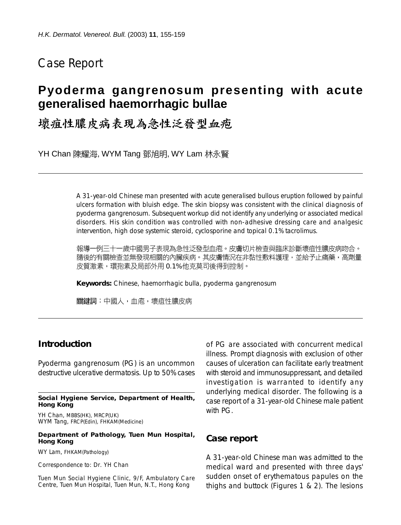# Case Report

# **Pyoderma gangrenosum presenting with acute generalised haemorrhagic bullae**

壞疽性膿皮病表現為急性泛發型血疱

YH Chan 陳耀海, WYM Tang 鄧旭明, WY Lam 林永賢

A 31-year-old Chinese man presented with acute generalised bullous eruption followed by painful ulcers formation with bluish edge. The skin biopsy was consistent with the clinical diagnosis of pyoderma gangrenosum. Subsequent workup did not identify any underlying or associated medical disorders. His skin condition was controlled with non-adhesive dressing care and analgesic intervention, high dose systemic steroid, cyclosporine and topical 0.1% tacrolimus.

報導一例三十一歲中國男子表現為急性泛發型血疱。皮膚切片檢查與臨床診斷壞疽性膿皮病吻合。 隨後的有關檢查並無發現相關的內臟疾病。其皮膚情況在非黏性敷料護理,並給予止痛藥,高劑量 皮質激素,環孢素及局部外用 0.1% 他克莫司後得到控制。

**Keywords:** Chinese, haemorrhagic bulla, pyoderma gangrenosum

關鍵詞:中國人,血疱,壞疽性膿皮病

## **Introduction**

Pyoderma gangrenosum (PG) is an uncommon destructive ulcerative dermatosis. Up to 50% cases

#### **Social Hygiene Service, Department of Health, Hong Kong**

YH Chan, MBBS(HK), MRCP(UK) WYM Tang, FRCP(Edin), FHKAM(Medicine)

#### **Department of Pathology, Tuen Mun Hospital, Hong Kong**

WY Lam, FHKAM(Pathology)

Correspondence to: Dr. YH Chan

Tuen Mun Social Hygiene Clinic, 9/F, Ambulatory Care Centre, Tuen Mun Hospital, Tuen Mun, N.T., Hong Kong

of PG are associated with concurrent medical illness. Prompt diagnosis with exclusion of other causes of ulceration can facilitate early treatment with steroid and immunosuppressant, and detailed investigation is warranted to identify any underlying medical disorder. The following is a case report of a 31-year-old Chinese male patient with PG.

### **Case report**

A 31-year-old Chinese man was admitted to the medical ward and presented with three days' sudden onset of erythematous papules on the thighs and buttock (Figures 1 & 2). The lesions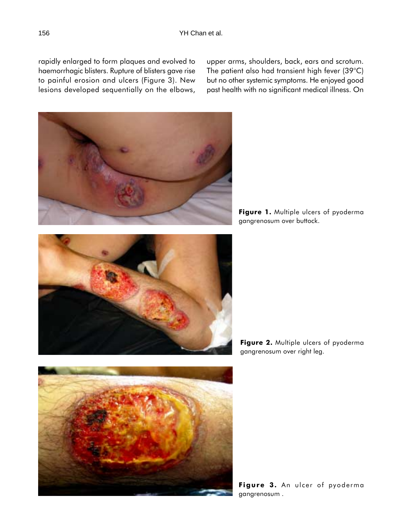rapidly enlarged to form plaques and evolved to haemorrhagic blisters. Rupture of blisters gave rise to painful erosion and ulcers (Figure 3). New lesions developed sequentially on the elbows, upper arms, shoulders, back, ears and scrotum. The patient also had transient high fever (39°C) but no other systemic symptoms. He enjoyed good past health with no significant medical illness. On

Figure 1. Multiple ulcers of pyoderma gangrenosum over buttock.

Figure 2. Multiple ulcers of pyoderma gangrenosum over right leg.

Figure 3. An ulcer of pyoderma gangrenosum .



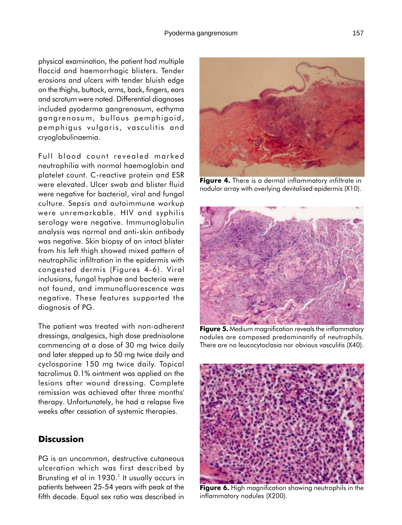physical examination, the patient had multiple flaccid and haemorrhagic blisters. Tender erosions and ulcers with tender bluish edge on the thighs, buttock, arms, back, fingers, ears and scrotum were noted. Differential diagnoses included pyoderma gangrenosum, ecthyma gangrenosum, bullous pemphigoid, pemphigus vulgaris, vasculitis and cryoglobulinaemia.

Full blood count revealed marked neutrophilia with normal haemoglobin and platelet count. C-reactive protein and ESR were elevated. Ulcer swab and blister fluid were negative for bacterial, viral and fungal culture. Sepsis and autoimmune workup were unremarkable. HIV and syphilis serology were negative. Immunoglobulin analysis was normal and anti-skin antibody was negative. Skin biopsy of an intact blister from his left thigh showed mixed pattern of neutrophilic infiltration in the epidermis with congested dermis (Figures 4-6). Viral inclusions, fungal hyphae and bacteria were not found, and immunofluorescence was negative. These features supported the diagnosis of PG.

The patient was treated with non-adherent dressings, analgesics, high dose prednisolone commencing at a dose of 30 mg twice daily and later stepped up to 50 mg twice daily and cyclosporine 150 mg twice daily. Topical tacrolimus 0.1% ointment was applied on the lesions after wound dressing. Complete remission was achieved after three months' therapy. Unfortunately, he had a relapse five weeks after cessation of systemic therapies.

## **Discussion**

PG is an uncommon, destructive cutaneous ulceration which was first described by Brunsting et al in 1930.<sup>1</sup> It usually occurs in patients between 25-54 years with peak at the fifth decade. Equal sex ratio was described in



Figure 4. There is a dermal inflammatory infiltrate in nodular array with overlying devitalised epidermis (X10).



**Figure 5.** Medium magnification reveals the inflammatory nodules are composed predominantly of neutrophils. There are no leucocytoclasia nor obvious vasculitis (X40).



Figure 6. High magnification showing neutrophils in the inflammatory nodules (X200).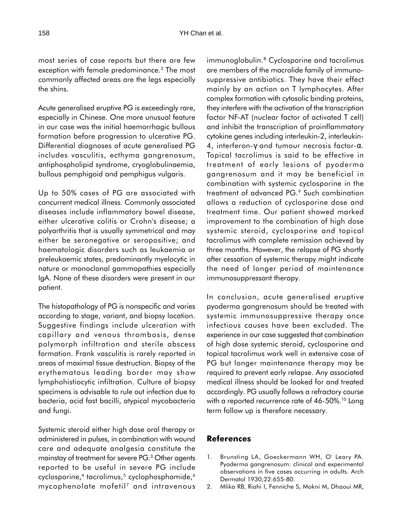most series of case reports but there are few exception with female predominance.<sup>2</sup> The most commonly affected areas are the legs especially the shins.

Acute generalised eruptive PG is exceedingly rare, especially in Chinese. One more unusual feature in our case was the initial haemorrhagic bullous formation before progression to ulcerative PG. Differential diagnoses of acute generalised PG includes vasculitis, ecthyma gangrenosum, antiphospholipid syndrome, cryoglobulinaemia, bullous pemphigoid and pemphigus vulgaris.

Up to 50% cases of PG are associated with concurrent medical illness. Commonly associated diseases include inflammatory bowel disease, either ulcerative colitis or Crohn's disease; a polyarthritis that is usually symmetrical and may either be seronegative or seropositive; and haematologic disorders such as leukaemia or preleukaemic states, predominantly myelocytic in nature or monoclonal gammopathies especially IgA. None of these disorders were present in our patient.

The histopathology of PG is nonspecific and varies according to stage, variant, and biopsy location. Suggestive findings include ulceration with capillary and venous thrombosis, dense polymorph infiltration and sterile abscess formation. Frank vasculitis is rarely reported in areas of maximal tissue destruction. Biopsy of the erythematous leading border may show lymphohistiocytic infiltration. Culture of biopsy specimens is advisable to rule out infection due to bacteria, acid fast bacilli, atypical mycobacteria and fungi.

Systemic steroid either high dose oral therapy or administered in pulses, in combination with wound care and adequate analgesia constitute the mainstay of treatment for severe PG.<sup>3</sup> Other agents reported to be useful in severe PG include cyclosporine,<sup>4</sup> tacrolimus,<sup>5</sup> cyclophosphamide,<sup>6</sup>  $mycophenolate model$  mofetil<sup>7</sup> and intravenous

immunoglobulin.<sup>8</sup> Cyclosporine and tacrolimus are members of the macrolide family of immunosuppressive antibiotics. They have their effect mainly by an action on T lymphocytes. After complex formation with cytosolic binding proteins, they interfere with the activation of the transcription factor NF-AT (nuclear factor of activated T cell) and inhibit the transcription of proinflammatory cytokine genes including interleukin-2, interleukin-4, interferon-γ and tumour necrosis factor-α. Topical tacrolimus is said to be effective in treatment of early lesions of pyoderma gangrenosum and it may be beneficial in combination with systemic cyclosporine in the treatment of advanced PG.<sup>9</sup> Such combination allows a reduction of cyclosporine dose and treatment time. Our patient showed marked improvement to the combination of high dose systemic steroid, cyclosporine and topical tacrolimus with complete remission achieved by three months. However, the relapse of PG shortly after cessation of systemic therapy might indicate the need of longer period of maintenance immunosuppressant therapy.

In conclusion, acute generalised eruptive pyoderma gangrenosum should be treated with systemic immunosuppressive therapy once infectious causes have been excluded. The experience in our case suggested that combination of high dose systemic steroid, cyclosporine and topical tacrolimus work well in extensive case of PG but longer maintenance therapy may be required to prevent early relapse. Any associated medical illness should be looked for and treated accordingly. PG usually follows a refractory course with a reported recurrence rate of 46-50%.<sup>10</sup> Long term follow up is therefore necessary.

### References

- 1. Brunsting LA, Goeckermann WH, O' Leary PA. Pyoderma gangrenosum: clinical and experimental observations in five cases occurring in adults. Arch Dermatol 1930;22:655-80.
- 2. Mlika RB, Riahi I, Fenniche S, Mokni M, Dhaoui MR,